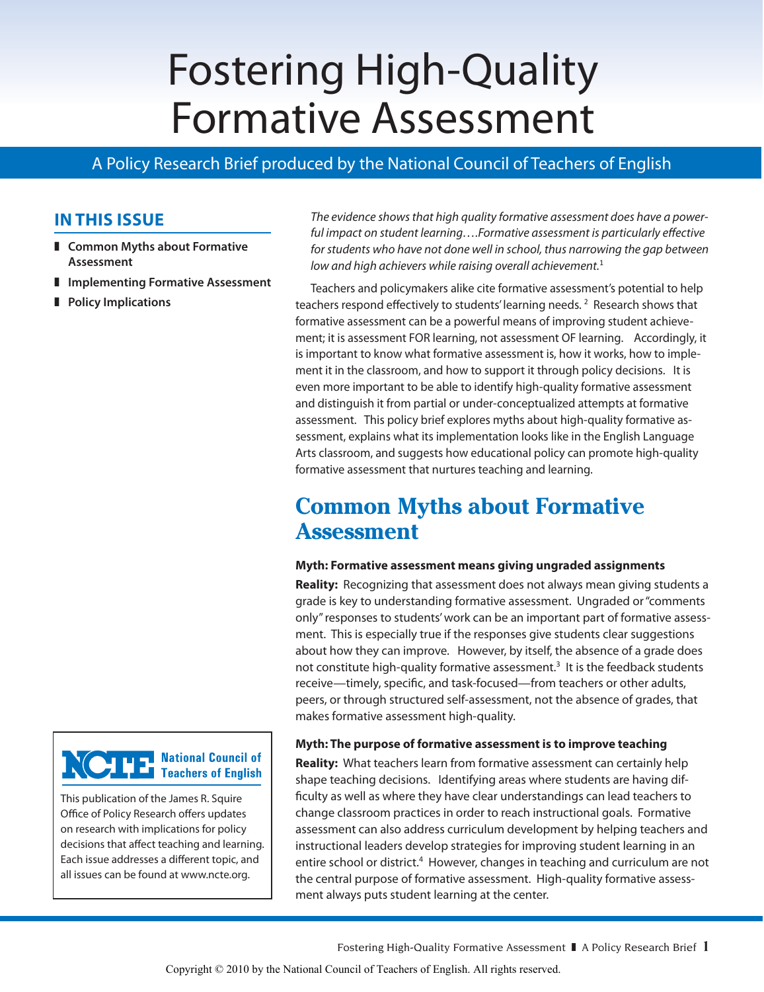# Fostering High-Quality Formative Assessment

## A Policy Research Brief produced by the National Council of Teachers of English

## **In This Issue**

 **Common Myths about Formative Assessment**

This publication of the James R. Squire Office of Policy Research offers updates on research with implications for policy decisions that affect teaching and learning. Each issue addresses a different topic, and all issues can be found at www.ncte.org.

**THE National Council of**<br> **The Teachers of English** 

- **Implementing Formative Assessment**
- **Policy Implications**

*The evidence shows that high quality formative assessment does have a powerful impact on student learning….Formative assessment is particularly effective*  for students who have not done well in school, thus narrowing the gap between *low and high achievers while raising overall achievement.*<sup>1</sup>

Teachers and policymakers alike cite formative assessment's potential to help teachers respond effectively to students' learning needs. <sup>2</sup> Research shows that formative assessment can be a powerful means of improving student achievement; it is assessment FOR learning, not assessment OF learning. Accordingly, it is important to know what formative assessment is, how it works, how to implement it in the classroom, and how to support it through policy decisions. It is even more important to be able to identify high-quality formative assessment and distinguish it from partial or under-conceptualized attempts at formative assessment. This policy brief explores myths about high-quality formative assessment, explains what its implementation looks like in the English Language Arts classroom, and suggests how educational policy can promote high-quality formative assessment that nurtures teaching and learning.

# **Common Myths about Formative Assessment**

#### **Myth: Formative assessment means giving ungraded assignments**

**Reality:** Recognizing that assessment does not always mean giving students a grade is key to understanding formative assessment. Ungraded or "comments only" responses to students' work can be an important part of formative assessment. This is especially true if the responses give students clear suggestions about how they can improve. However, by itself, the absence of a grade does not constitute high-quality formative assessment.<sup>3</sup> It is the feedback students receive—timely, specific, and task-focused—from teachers or other adults, peers, or through structured self-assessment, not the absence of grades, that makes formative assessment high-quality.

#### **Myth: The purpose of formative assessment is to improve teaching**

**Reality:** What teachers learn from formative assessment can certainly help shape teaching decisions. Identifying areas where students are having difficulty as well as where they have clear understandings can lead teachers to change classroom practices in order to reach instructional goals. Formative assessment can also address curriculum development by helping teachers and instructional leaders develop strategies for improving student learning in an entire school or district.<sup>4</sup> However, changes in teaching and curriculum are not the central purpose of formative assessment. High-quality formative assessment always puts student learning at the center.

Fostering High-Quality Formative Assessment A Policy Research Brief **1**

Copyright © 2010 by the National Council of Teachers of English. All rights reserved.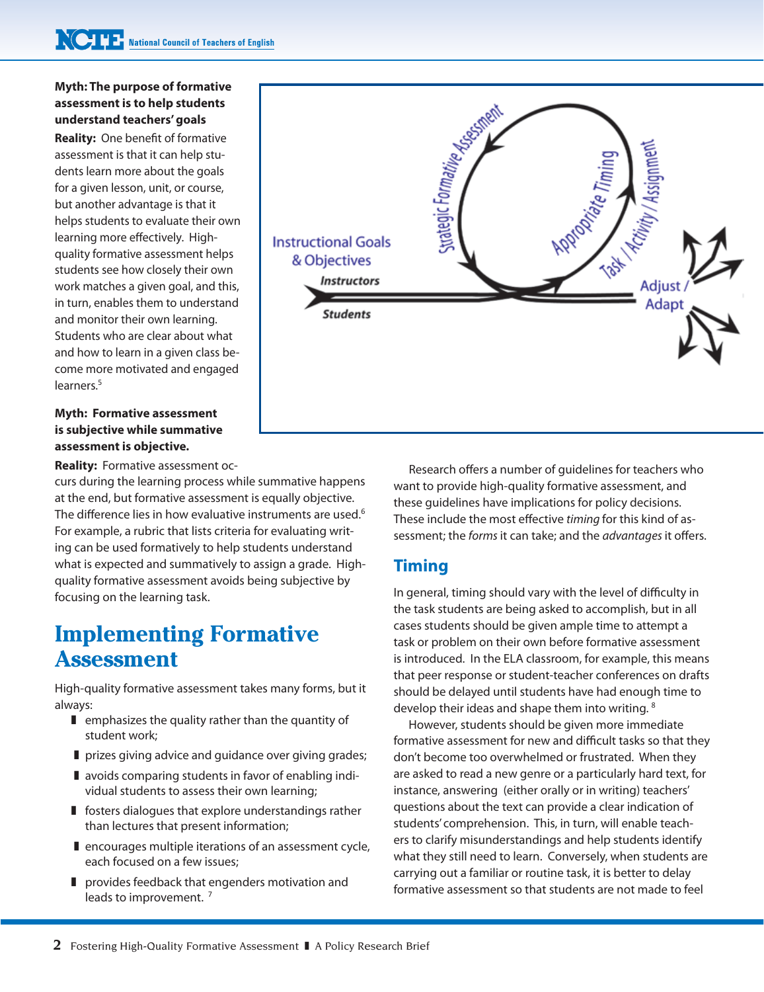#### **Myth: The purpose of formative assessment is to help students understand teachers' goals**

**Reality:** One benefit of formative assessment is that it can help students learn more about the goals for a given lesson, unit, or course, but another advantage is that it helps students to evaluate their own learning more effectively. Highquality formative assessment helps students see how closely their own work matches a given goal, and this, in turn, enables them to understand and monitor their own learning. Students who are clear about what and how to learn in a given class become more motivated and engaged learners.<sup>5</sup>

#### **Myth: Formative assessment is subjective while summative assessment is objective.**

**Reality:** Formative assessment oc-

curs during the learning process while summative happens at the end, but formative assessment is equally objective. The difference lies in how evaluative instruments are used.<sup>6</sup> For example, a rubric that lists criteria for evaluating writing can be used formatively to help students understand what is expected and summatively to assign a grade. Highquality formative assessment avoids being subjective by focusing on the learning task.

## **Implementing Formative Assessment**

High-quality formative assessment takes many forms, but it always:

- $\blacksquare$  emphasizes the quality rather than the quantity of student work;
- **prizes giving advice and guidance over giving grades;**
- **I** avoids comparing students in favor of enabling individual students to assess their own learning;
- **f** fosters dialogues that explore understandings rather than lectures that present information;
- **Pencourages multiple iterations of an assessment cycle,** each focused on a few issues;
- **Perovides feedback that engenders motivation and** leads to improvement.<sup>7</sup>



Research offers a number of guidelines for teachers who want to provide high-quality formative assessment, and these guidelines have implications for policy decisions. These include the most effective *timing* for this kind of assessment; the *forms* it can take; and the *advantages* it offers.

## **Timing**

In general, timing should vary with the level of difficulty in the task students are being asked to accomplish, but in all cases students should be given ample time to attempt a task or problem on their own before formative assessment is introduced. In the ELA classroom, for example, this means that peer response or student-teacher conferences on drafts should be delayed until students have had enough time to develop their ideas and shape them into writing. <sup>8</sup>

However, students should be given more immediate formative assessment for new and difficult tasks so that they don't become too overwhelmed or frustrated. When they are asked to read a new genre or a particularly hard text, for instance, answering (either orally or in writing) teachers' questions about the text can provide a clear indication of students' comprehension. This, in turn, will enable teachers to clarify misunderstandings and help students identify what they still need to learn. Conversely, when students are carrying out a familiar or routine task, it is better to delay formative assessment so that students are not made to feel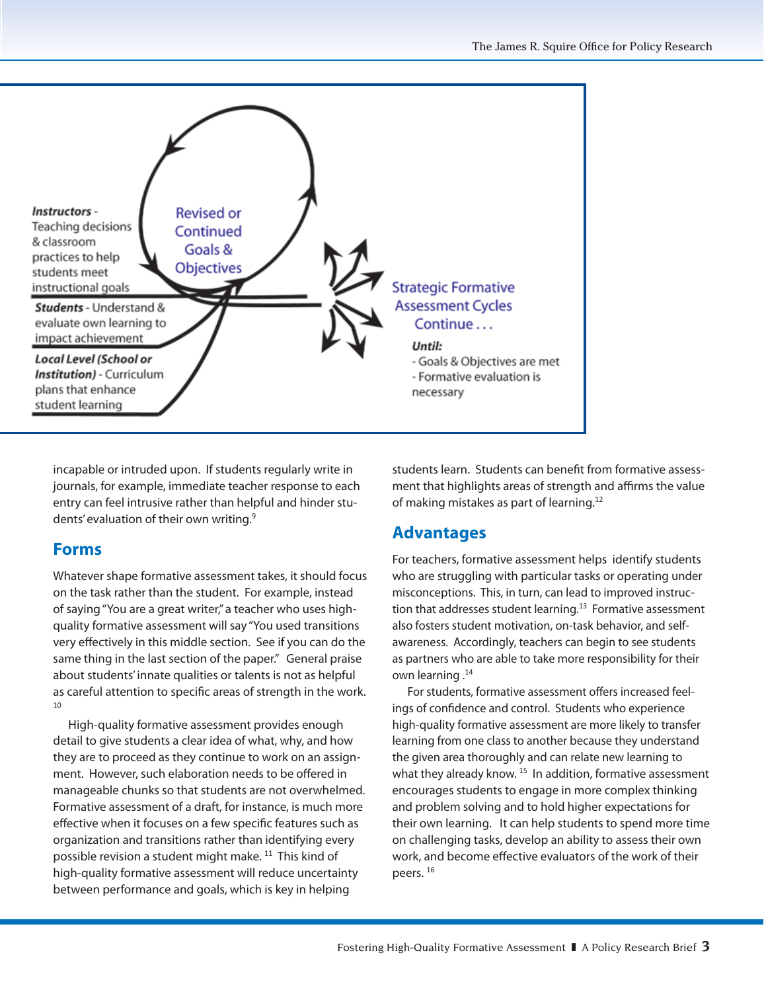

incapable or intruded upon. If students regularly write in journals, for example, immediate teacher response to each entry can feel intrusive rather than helpful and hinder students' evaluation of their own writing.<sup>9</sup>

### **Forms**

Whatever shape formative assessment takes, it should focus on the task rather than the student. For example, instead of saying "You are a great writer," a teacher who uses highquality formative assessment will say "You used transitions very effectively in this middle section. See if you can do the same thing in the last section of the paper." General praise about students' innate qualities or talents is not as helpful as careful attention to specific areas of strength in the work. 10

High-quality formative assessment provides enough detail to give students a clear idea of what, why, and how they are to proceed as they continue to work on an assignment. However, such elaboration needs to be offered in manageable chunks so that students are not overwhelmed. Formative assessment of a draft, for instance, is much more effective when it focuses on a few specific features such as organization and transitions rather than identifying every possible revision a student might make.<sup>11</sup> This kind of high-quality formative assessment will reduce uncertainty between performance and goals, which is key in helping

students learn. Students can benefit from formative assessment that highlights areas of strength and affirms the value of making mistakes as part of learning.<sup>12</sup>

## **Advantages**

For teachers, formative assessment helps identify students who are struggling with particular tasks or operating under misconceptions. This, in turn, can lead to improved instruction that addresses student learning.<sup>13</sup> Formative assessment also fosters student motivation, on-task behavior, and selfawareness. Accordingly, teachers can begin to see students as partners who are able to take more responsibility for their own learning .<sup>14</sup>

For students, formative assessment offers increased feelings of confidence and control. Students who experience high-quality formative assessment are more likely to transfer learning from one class to another because they understand the given area thoroughly and can relate new learning to what they already know.<sup>15</sup> In addition, formative assessment encourages students to engage in more complex thinking and problem solving and to hold higher expectations for their own learning. It can help students to spend more time on challenging tasks, develop an ability to assess their own work, and become effective evaluators of the work of their peers. <sup>16</sup>